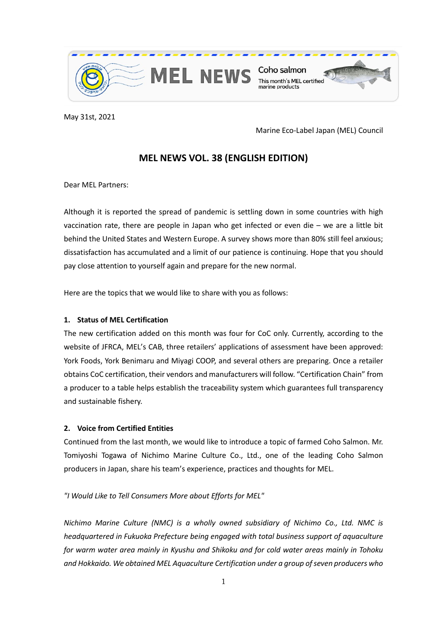

May 31st, 2021

Marine Eco-Label Japan (MEL) Council

# **MEL NEWS VOL. 38 (ENGLISH EDITION)**

Dear MEL Partners:

Although it is reported the spread of pandemic is settling down in some countries with high vaccination rate, there are people in Japan who get infected or even die – we are a little bit behind the United States and Western Europe. A survey shows more than 80% still feel anxious; dissatisfaction has accumulated and a limit of our patience is continuing. Hope that you should pay close attention to yourself again and prepare for the new normal.

Here are the topics that we would like to share with you as follows:

## **1. Status of MEL Certification**

The new certification added on this month was four for CoC only. Currently, according to the website of JFRCA, MEL's CAB, three retailers' applications of assessment have been approved: York Foods, York Benimaru and Miyagi COOP, and several others are preparing. Once a retailer obtains CoC certification, their vendors and manufacturers will follow. "Certification Chain" from a producer to a table helps establish the traceability system which guarantees full transparency and sustainable fishery.

## **2. Voice from Certified Entities**

Continued from the last month, we would like to introduce a topic of farmed Coho Salmon. Mr. Tomiyoshi Togawa of Nichimo Marine Culture Co., Ltd., one of the leading Coho Salmon producers in Japan, share his team's experience, practices and thoughts for MEL.

*"I Would Like to Tell Consumers More about Efforts for MEL"* 

*Nichimo Marine Culture (NMC) is a wholly owned subsidiary of Nichimo Co., Ltd. NMC is headquartered in Fukuoka Prefecture being engaged with total business support of aquaculture for warm water area mainly in Kyushu and Shikoku and for cold water areas mainly in Tohoku and Hokkaido. We obtained MEL Aquaculture Certification under a group of seven producers who*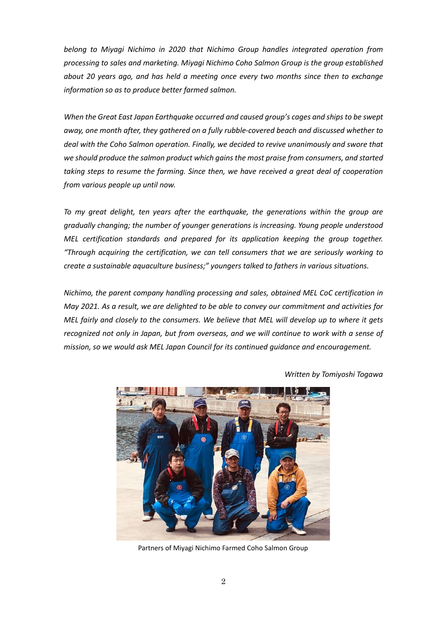*belong to Miyagi Nichimo in 2020 that Nichimo Group handles integrated operation from processing to sales and marketing. Miyagi Nichimo Coho Salmon Group is the group established about 20 years ago, and has held a meeting once every two months since then to exchange information so as to produce better farmed salmon.*

*When the Great East Japan Earthquake occurred and caused group's cages and shipsto be swept away, one month after, they gathered on a fully rubble-covered beach and discussed whether to deal with the Coho Salmon operation. Finally, we decided to revive unanimously and swore that we should produce the salmon product which gains the most praise from consumers, and started taking steps to resume the farming. Since then, we have received a great deal of cooperation from various people up until now.*

*To my great delight, ten years after the earthquake, the generations within the group are gradually changing; the number of younger generations is increasing. Young people understood MEL certification standards and prepared for its application keeping the group together. "Through acquiring the certification, we can tell consumers that we are seriously working to create a sustainable aquaculture business;" youngers talked to fathers in various situations.*

*Nichimo, the parent company handling processing and sales, obtained MEL CoC certification in May 2021. As a result, we are delighted to be able to convey our commitment and activities for MEL fairly and closely to the consumers. We believe that MEL will develop up to where it gets recognized not only in Japan, but from overseas, and we will continue to work with a sense of mission, so we would ask MEL Japan Council for its continued guidance and encouragement.*



*Written by Tomiyoshi Togawa*

Partners of Miyagi Nichimo Farmed Coho Salmon Group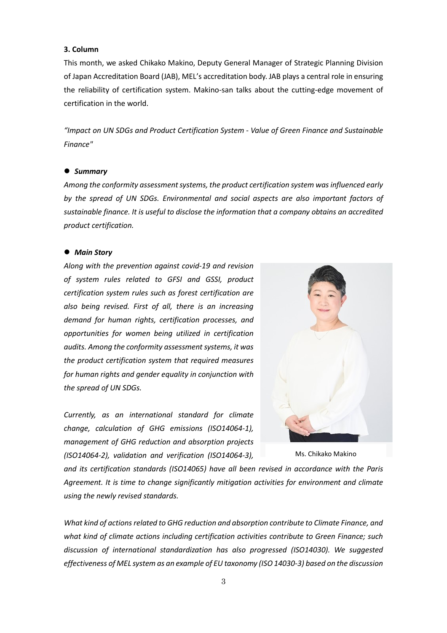#### **3. Column**

This month, we asked Chikako Makino, Deputy General Manager of Strategic Planning Division of Japan Accreditation Board (JAB), MEL's accreditation body. JAB plays a central role in ensuring the reliability of certification system. Makino-san talks about the cutting-edge movement of certification in the world.

*"Impact on UN SDGs and Product Certification System - Value of Green Finance and Sustainable Finance"*

#### *Summary*

*Among the conformity assessment systems, the product certification system was influenced early by the spread of UN SDGs. Environmental and social aspects are also important factors of sustainable finance. It is useful to disclose the information that a company obtains an accredited product certification.*

#### *Main Story*

*Along with the prevention against covid-19 and revision of system rules related to GFSI and GSSI, product certification system rules such as forest certification are also being revised. First of all, there is an increasing demand for human rights, certification processes, and opportunities for women being utilized in certification audits. Among the conformity assessment systems, it was the product certification system that required measures for human rights and gender equality in conjunction with the spread of UN SDGs.*

*Currently, as an international standard for climate change, calculation of GHG emissions (ISO14064-1), management of GHG reduction and absorption projects (ISO14064-2), validation and verification (ISO14064-3),* 



Ms. Chikako Makino

*and its certification standards (ISO14065) have all been revised in accordance with the Paris Agreement. It is time to change significantly mitigation activities for environment and climate using the newly revised standards.*

*What kind of actions related to GHG reduction and absorption contribute to Climate Finance, and what kind of climate actions including certification activities contribute to Green Finance; such discussion of international standardization has also progressed (ISO14030). We suggested effectiveness of MEL system as an example of EU taxonomy (ISO 14030-3) based on the discussion*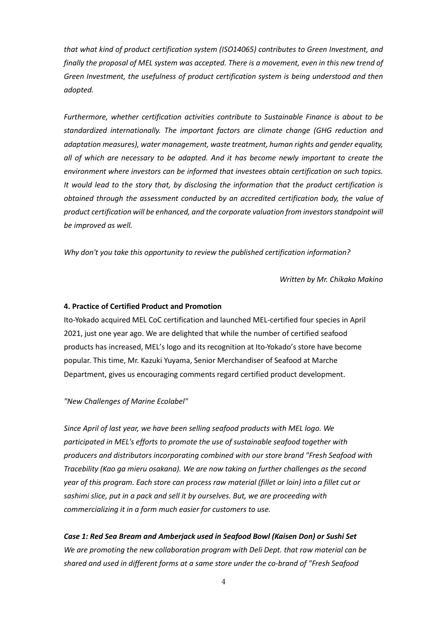*that what kind of product certification system (ISO14065) contributes to Green Investment, and finally the proposal of MEL system was accepted. There is a movement, even in this new trend of Green Investment, the usefulness of product certification system is being understood and then adopted.*

*Furthermore, whether certification activities contribute to Sustainable Finance is about to be standardized internationally. The important factors are climate change (GHG reduction and adaptation measures), water management, waste treatment, human rights and gender equality, all of which are necessary to be adapted. And it has become newly important to create the environment where investors can be informed that investees obtain certification on such topics. It would lead to the story that, by disclosing the information that the product certification is obtained through the assessment conducted by an accredited certification body, the value of product certification will be enhanced, and the corporate valuation from investors standpoint will be improved as well.* 

*Why don't you take this opportunity to review the published certification information?*

*Written by Mr. Chikako Makino*

#### **4. Practice of Certified Product and Promotion**

Ito-Yokado acquired MEL CoC certification and launched MEL-certified four species in April 2021, just one year ago. We are delighted that while the number of certified seafood products has increased, MEL's logo and its recognition at Ito-Yokado's store have become popular. This time, Mr. Kazuki Yuyama, Senior Merchandiser of Seafood at Marche Department, gives us encouraging comments regard certified product development.

#### *"New Challenges of Marine Ecolabel"*

*Since April of last year, we have been selling seafood products with MEL logo. We participated in MEL's efforts to promote the use of sustainable seafood together with producers and distributors incorporating combined with our store brand "Fresh Seafood with Tracebility (Kao ga mieru osakana). We are now taking on further challenges as the second year of this program. Each store can process raw material (fillet or loin) into a fillet cut or sashimi slice, put in a pack and sell it by ourselves. But, we are proceeding with commercializing it in a form much easier for customers to use.*

*Case 1: Red Sea Bream and Amberjack used in Seafood Bowl (Kaisen Don) or Sushi Set We are promoting the new collaboration program with Deli Dept. that raw material can be shared and used in different forms at a same store under the co-brand of "Fresh Seafood*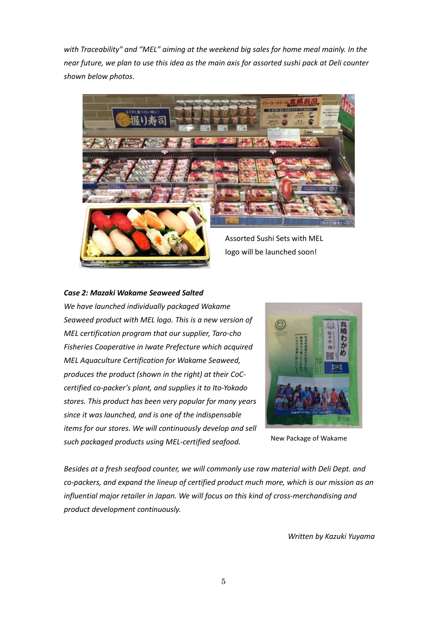*with Traceability" and "MEL" aiming at the weekend big sales for home meal mainly. In the near future, we plan to use this idea as the main axis for assorted sushi pack at Deli counter shown below photos.*



#### *Case 2: Mazaki Wakame Seaweed Salted*

*We have launched individually packaged Wakame Seaweed product with MEL logo. This is a new version of MEL certification program that our supplier, Taro-cho Fisheries Cooperative in Iwate Prefecture which acquired MEL Aquaculture Certification for Wakame Seaweed, produces the product (shown in the right) at their CoCcertified co-packer's plant, and supplies it to Ito-Yokado stores. This product has been very popular for many years since it was launched, and is one of the indispensable items for our stores. We will continuously develop and sell such packaged products using MEL-certified seafood.*



New Package of Wakame

*Besides at a fresh seafood counter, we will commonly use raw material with Deli Dept. and co-packers, and expand the lineup of certified product much more, which is our mission as an influential major retailer in Japan. We will focus on this kind of cross-merchandising and product development continuously.*

*Written by Kazuki Yuyama*